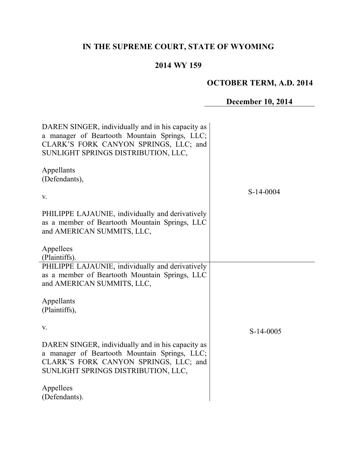# **IN THE SUPREME COURT, STATE OF WYOMING**

## **2014 WY 159**

# **OCTOBER TERM, A.D. 2014**

# **December 10, 2014**

| DAREN SINGER, individually and in his capacity as<br>a manager of Beartooth Mountain Springs, LLC;<br>CLARK'S FORK CANYON SPRINGS, LLC; and<br>SUNLIGHT SPRINGS DISTRIBUTION, LLC, |             |
|------------------------------------------------------------------------------------------------------------------------------------------------------------------------------------|-------------|
| Appellants<br>(Defendants),                                                                                                                                                        | $S-14-0004$ |
| V.                                                                                                                                                                                 |             |
| PHILIPPE LAJAUNIE, individually and derivatively<br>as a member of Beartooth Mountain Springs, LLC<br>and AMERICAN SUMMITS, LLC,                                                   |             |
| Appellees<br>(Plaintiffs).                                                                                                                                                         |             |
| PHILIPPE LAJAUNIE, individually and derivatively<br>as a member of Beartooth Mountain Springs, LLC<br>and AMERICAN SUMMITS, LLC,                                                   |             |
| Appellants<br>(Plaintiffs),                                                                                                                                                        |             |
| V.                                                                                                                                                                                 | $S-14-0005$ |
| DAREN SINGER, individually and in his capacity as<br>a manager of Beartooth Mountain Springs, LLC;<br>CLARK'S FORK CANYON SPRINGS, LLC; and<br>SUNLIGHT SPRINGS DISTRIBUTION, LLC, |             |
| Appellees<br>(Defendants).                                                                                                                                                         |             |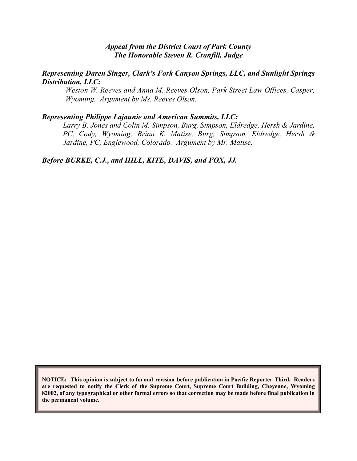## *Appeal from the District Court of Park County The Honorable Steven R. Cranfill, Judge*

#### *Representing Daren Singer, Clark's Fork Canyon Springs, LLC, and Sunlight Springs Distribution, LLC:*

*Weston W. Reeves and Anna M. Reeves Olson, Park Street Law Offices, Casper, Wyoming. Argument by Ms. Reeves Olson.*

#### *Representing Philippe Lajaunie and American Summits, LLC:*

*Larry B. Jones and Colin M. Simpson, Burg, Simpson, Eldredge, Hersh & Jardine, PC, Cody, Wyoming; Brian K. Matise, Burg, Simpson, Eldredge, Hersh & Jardine, PC, Englewood, Colorado. Argument by Mr. Matise.* 

*Before BURKE, C.J., and HILL, KITE, DAVIS, and FOX, JJ.*

**NOTICE: This opinion is subject to formal revision before publication in Pacific Reporter Third. Readers are requested to notify the Clerk of the Supreme Court, Supreme Court Building, Cheyenne, Wyoming 82002, of any typographical or other formal errors so that correction may be made before final publication in the permanent volume.**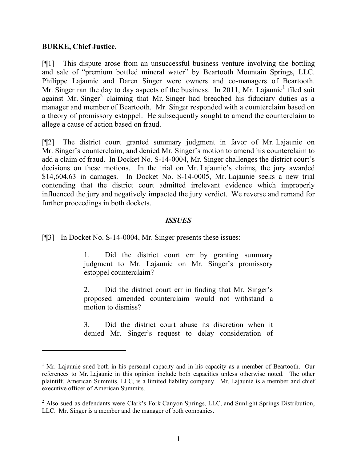## **BURKE, Chief Justice.**

 $\overline{a}$ 

[¶1] This dispute arose from an unsuccessful business venture involving the bottling and sale of "premium bottled mineral water" by Beartooth Mountain Springs, LLC. Philippe Lajaunie and Daren Singer were owners and co-managers of Beartooth. Mr. Singer ran the day to day aspects of the business. In 2011, Mr. Lajaunie<sup>1</sup> filed suit against Mr. Singer<sup>2</sup> claiming that Mr. Singer had breached his fiduciary duties as a manager and member of Beartooth. Mr. Singer responded with a counterclaim based on a theory of promissory estoppel. He subsequently sought to amend the counterclaim to allege a cause of action based on fraud.

[¶2] The district court granted summary judgment in favor of Mr. Lajaunie on Mr. Singer's counterclaim, and denied Mr. Singer's motion to amend his counterclaim to add a claim of fraud. In Docket No. S-14-0004, Mr. Singer challenges the district court's decisions on these motions. In the trial on Mr. Lajaunie's claims, the jury awarded \$14,604.63 in damages. In Docket No. S-14-0005, Mr. Lajaunie seeks a new trial contending that the district court admitted irrelevant evidence which improperly influenced the jury and negatively impacted the jury verdict. We reverse and remand for further proceedings in both dockets.

## *ISSUES*

[¶3] In Docket No. S-14-0004, Mr. Singer presents these issues:

1. Did the district court err by granting summary judgment to Mr. Lajaunie on Mr. Singer's promissory estoppel counterclaim?

2. Did the district court err in finding that Mr. Singer's proposed amended counterclaim would not withstand a motion to dismiss?

3. Did the district court abuse its discretion when it denied Mr. Singer's request to delay consideration of

 $1$  Mr. Lajaunie sued both in his personal capacity and in his capacity as a member of Beartooth. Our references to Mr. Lajaunie in this opinion include both capacities unless otherwise noted. The other plaintiff, American Summits, LLC, is a limited liability company. Mr. Lajaunie is a member and chief executive officer of American Summits.

<sup>&</sup>lt;sup>2</sup> Also sued as defendants were Clark's Fork Canyon Springs, LLC, and Sunlight Springs Distribution, LLC. Mr. Singer is a member and the manager of both companies.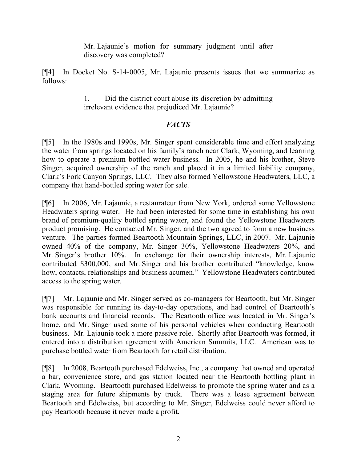Mr. Lajaunie's motion for summary judgment until after discovery was completed?

[¶4] In Docket No. S-14-0005, Mr. Lajaunie presents issues that we summarize as follows:

> 1. Did the district court abuse its discretion by admitting irrelevant evidence that prejudiced Mr. Lajaunie?

## *FACTS*

[¶5] In the 1980s and 1990s, Mr. Singer spent considerable time and effort analyzing the water from springs located on his family's ranch near Clark, Wyoming, and learning how to operate a premium bottled water business. In 2005, he and his brother, Steve Singer, acquired ownership of the ranch and placed it in a limited liability company, Clark's Fork Canyon Springs, LLC. They also formed Yellowstone Headwaters, LLC, a company that hand-bottled spring water for sale.

[¶6] In 2006, Mr. Lajaunie, a restaurateur from New York, ordered some Yellowstone Headwaters spring water. He had been interested for some time in establishing his own brand of premium-quality bottled spring water, and found the Yellowstone Headwaters product promising. He contacted Mr. Singer, and the two agreed to form a new business venture. The parties formed Beartooth Mountain Springs, LLC, in 2007. Mr. Lajaunie owned 40% of the company, Mr. Singer 30%, Yellowstone Headwaters 20%, and Mr. Singer's brother 10%. In exchange for their ownership interests, Mr. Lajaunie contributed \$300,000, and Mr. Singer and his brother contributed "knowledge, know how, contacts, relationships and business acumen." Yellowstone Headwaters contributed access to the spring water.

[¶7] Mr. Lajaunie and Mr. Singer served as co-managers for Beartooth, but Mr. Singer was responsible for running its day-to-day operations, and had control of Beartooth's bank accounts and financial records. The Beartooth office was located in Mr. Singer's home, and Mr. Singer used some of his personal vehicles when conducting Beartooth business. Mr. Lajaunie took a more passive role. Shortly after Beartooth was formed, it entered into a distribution agreement with American Summits, LLC. American was to purchase bottled water from Beartooth for retail distribution.

[¶8] In 2008, Beartooth purchased Edelweiss, Inc., a company that owned and operated a bar, convenience store, and gas station located near the Beartooth bottling plant in Clark, Wyoming. Beartooth purchased Edelweiss to promote the spring water and as a staging area for future shipments by truck. There was a lease agreement between Beartooth and Edelweiss, but according to Mr. Singer, Edelweiss could never afford to pay Beartooth because it never made a profit.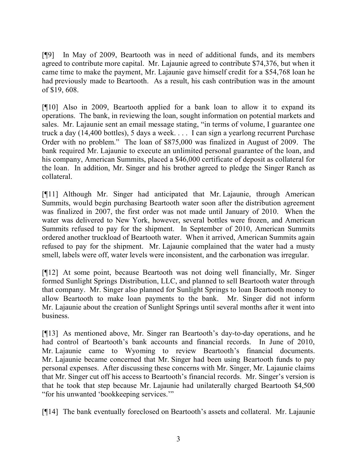[¶9] In May of 2009, Beartooth was in need of additional funds, and its members agreed to contribute more capital. Mr. Lajaunie agreed to contribute \$74,376, but when it came time to make the payment, Mr. Lajaunie gave himself credit for a \$54,768 loan he had previously made to Beartooth. As a result, his cash contribution was in the amount of \$19, 608.

[¶10] Also in 2009, Beartooth applied for a bank loan to allow it to expand its operations. The bank, in reviewing the loan, sought information on potential markets and sales. Mr. Lajaunie sent an email message stating, "in terms of volume, I guarantee one truck a day (14,400 bottles), 5 days a week. . . . I can sign a yearlong recurrent Purchase Order with no problem." The loan of \$875,000 was finalized in August of 2009. The bank required Mr. Lajaunie to execute an unlimited personal guarantee of the loan, and his company, American Summits, placed a \$46,000 certificate of deposit as collateral for the loan. In addition, Mr. Singer and his brother agreed to pledge the Singer Ranch as collateral.

[¶11] Although Mr. Singer had anticipated that Mr. Lajaunie, through American Summits, would begin purchasing Beartooth water soon after the distribution agreement was finalized in 2007, the first order was not made until January of 2010. When the water was delivered to New York, however, several bottles were frozen, and American Summits refused to pay for the shipment. In September of 2010, American Summits ordered another truckload of Beartooth water. When it arrived, American Summits again refused to pay for the shipment. Mr. Lajaunie complained that the water had a musty smell, labels were off, water levels were inconsistent, and the carbonation was irregular.

[¶12] At some point, because Beartooth was not doing well financially, Mr. Singer formed Sunlight Springs Distribution, LLC, and planned to sell Beartooth water through that company. Mr. Singer also planned for Sunlight Springs to loan Beartooth money to allow Beartooth to make loan payments to the bank. Mr. Singer did not inform Mr. Lajaunie about the creation of Sunlight Springs until several months after it went into business.

[¶13] As mentioned above, Mr. Singer ran Beartooth's day-to-day operations, and he had control of Beartooth's bank accounts and financial records. In June of 2010, Mr. Lajaunie came to Wyoming to review Beartooth's financial documents. Mr. Lajaunie became concerned that Mr. Singer had been using Beartooth funds to pay personal expenses. After discussing these concerns with Mr. Singer, Mr. Lajaunie claims that Mr. Singer cut off his access to Beartooth's financial records. Mr. Singer's version is that he took that step because Mr. Lajaunie had unilaterally charged Beartooth \$4,500 "for his unwanted 'bookkeeping services.'"

[¶14] The bank eventually foreclosed on Beartooth's assets and collateral. Mr. Lajaunie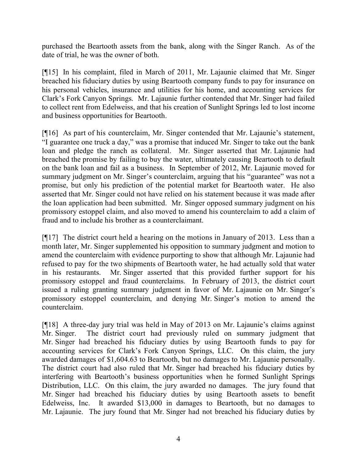purchased the Beartooth assets from the bank, along with the Singer Ranch. As of the date of trial, he was the owner of both.

[¶15] In his complaint, filed in March of 2011, Mr. Lajaunie claimed that Mr. Singer breached his fiduciary duties by using Beartooth company funds to pay for insurance on his personal vehicles, insurance and utilities for his home, and accounting services for Clark's Fork Canyon Springs. Mr. Lajaunie further contended that Mr. Singer had failed to collect rent from Edelweiss, and that his creation of Sunlight Springs led to lost income and business opportunities for Beartooth.

[¶16] As part of his counterclaim, Mr. Singer contended that Mr. Lajaunie's statement, "I guarantee one truck a day," was a promise that induced Mr. Singer to take out the bank loan and pledge the ranch as collateral. Mr. Singer asserted that Mr. Lajaunie had breached the promise by failing to buy the water, ultimately causing Beartooth to default on the bank loan and fail as a business. In September of 2012, Mr. Lajaunie moved for summary judgment on Mr. Singer's counterclaim, arguing that his "guarantee" was not a promise, but only his prediction of the potential market for Beartooth water. He also asserted that Mr. Singer could not have relied on his statement because it was made after the loan application had been submitted. Mr. Singer opposed summary judgment on his promissory estoppel claim, and also moved to amend his counterclaim to add a claim of fraud and to include his brother as a counterclaimant.

[¶17] The district court held a hearing on the motions in January of 2013. Less than a month later, Mr. Singer supplemented his opposition to summary judgment and motion to amend the counterclaim with evidence purporting to show that although Mr. Lajaunie had refused to pay for the two shipments of Beartooth water, he had actually sold that water in his restaurants. Mr. Singer asserted that this provided further support for his promissory estoppel and fraud counterclaims. In February of 2013, the district court issued a ruling granting summary judgment in favor of Mr. Lajaunie on Mr. Singer's promissory estoppel counterclaim, and denying Mr. Singer's motion to amend the counterclaim.

[¶18] A three-day jury trial was held in May of 2013 on Mr. Lajaunie's claims against Mr. Singer. The district court had previously ruled on summary judgment that Mr. Singer had breached his fiduciary duties by using Beartooth funds to pay for accounting services for Clark's Fork Canyon Springs, LLC. On this claim, the jury awarded damages of \$1,604.63 to Beartooth, but no damages to Mr. Lajaunie personally. The district court had also ruled that Mr. Singer had breached his fiduciary duties by interfering with Beartooth's business opportunities when he formed Sunlight Springs Distribution, LLC. On this claim, the jury awarded no damages. The jury found that Mr. Singer had breached his fiduciary duties by using Beartooth assets to benefit Edelweiss, Inc. It awarded \$13,000 in damages to Beartooth, but no damages to Mr. Lajaunie. The jury found that Mr. Singer had not breached his fiduciary duties by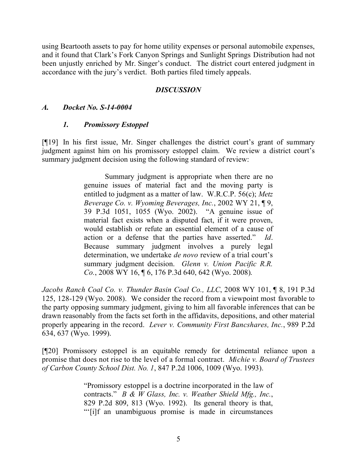using Beartooth assets to pay for home utility expenses or personal automobile expenses, and it found that Clark's Fork Canyon Springs and Sunlight Springs Distribution had not been unjustly enriched by Mr. Singer's conduct. The district court entered judgment in accordance with the jury's verdict. Both parties filed timely appeals.

## *DISCUSSION*

## *A. Docket No. S-14-0004*

## *1. Promissory Estoppel*

[¶19] In his first issue, Mr. Singer challenges the district court's grant of summary judgment against him on his promissory estoppel claim. We review a district court's summary judgment decision using the following standard of review:

> Summary judgment is appropriate when there are no genuine issues of material fact and the moving party is entitled to judgment as a matter of law. W.R.C.P. 56(c); *Metz Beverage Co. v. Wyoming Beverages, Inc.*, 2002 WY 21, ¶ 9, 39 P.3d 1051, 1055 (Wyo. 2002). "A genuine issue of material fact exists when a disputed fact, if it were proven, would establish or refute an essential element of a cause of action or a defense that the parties have asserted." *Id*. Because summary judgment involves a purely legal determination, we undertake *de novo* review of a trial court's summary judgment decision. *Glenn v. Union Pacific R.R. Co.*, 2008 WY 16, ¶ 6, 176 P.3d 640, 642 (Wyo. 2008).

*Jacobs Ranch Coal Co. v. Thunder Basin Coal Co., LLC*, 2008 WY 101, ¶ 8, 191 P.3d 125, 128-129 (Wyo. 2008). We consider the record from a viewpoint most favorable to the party opposing summary judgment, giving to him all favorable inferences that can be drawn reasonably from the facts set forth in the affidavits, depositions, and other material properly appearing in the record. *Lever v. Community First Bancshares, Inc.*, 989 P.2d 634, 637 (Wyo. 1999).

[¶20] Promissory estoppel is an equitable remedy for detrimental reliance upon a promise that does not rise to the level of a formal contract. *Michie v. Board of Trustees of Carbon County School Dist. No. 1*, 847 P.2d 1006, 1009 (Wyo. 1993).

> "Promissory estoppel is a doctrine incorporated in the law of contracts." *B & W Glass, Inc. v. Weather Shield Mfg., Inc.*, 829 P.2d 809, 813 (Wyo. 1992). Its general theory is that, "'[i]f an unambiguous promise is made in circumstances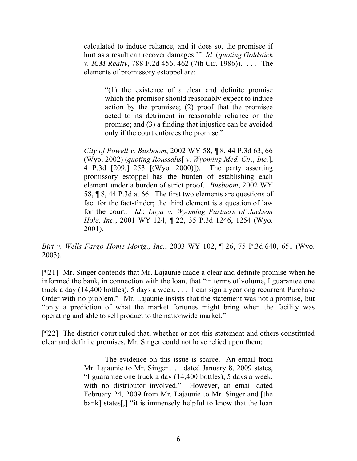calculated to induce reliance, and it does so, the promisee if hurt as a result can recover damages.'" *Id*. (*quoting Goldstick v. ICM Realty*, 788 F.2d 456, 462 (7th Cir. 1986)). . . . The elements of promissory estoppel are:

> "(1) the existence of a clear and definite promise which the promisor should reasonably expect to induce action by the promisee; (2) proof that the promisee acted to its detriment in reasonable reliance on the promise; and (3) a finding that injustice can be avoided only if the court enforces the promise."

*City of Powell v. Busboom*, 2002 WY 58, ¶ 8, 44 P.3d 63, 66 (Wyo. 2002) (*quoting Roussalis*[ *v. Wyoming Med. Ctr., Inc.*], 4 P.3d [209,] 253 [(Wyo. 2000)]). The party asserting promissory estoppel has the burden of establishing each element under a burden of strict proof. *Busboom*, 2002 WY 58, ¶ 8, 44 P.3d at 66. The first two elements are questions of fact for the fact-finder; the third element is a question of law for the court. *Id*.; *Loya v. Wyoming Partners of Jackson Hole, Inc.*, 2001 WY 124, ¶ 22, 35 P.3d 1246, 1254 (Wyo. 2001).

*Birt v. Wells Fargo Home Mortg., Inc.*, 2003 WY 102, ¶ 26, 75 P.3d 640, 651 (Wyo. 2003).

[¶21] Mr. Singer contends that Mr. Lajaunie made a clear and definite promise when he informed the bank, in connection with the loan, that "in terms of volume, I guarantee one truck a day (14,400 bottles), 5 days a week. . . . I can sign a yearlong recurrent Purchase Order with no problem." Mr. Lajaunie insists that the statement was not a promise, but "only a prediction of what the market fortunes might bring when the facility was operating and able to sell product to the nationwide market."

[¶22] The district court ruled that, whether or not this statement and others constituted clear and definite promises, Mr. Singer could not have relied upon them:

> The evidence on this issue is scarce. An email from Mr. Lajaunie to Mr. Singer . . . dated January 8, 2009 states, "I guarantee one truck a day (14,400 bottles), 5 days a week, with no distributor involved." However, an email dated February 24, 2009 from Mr. Lajaunie to Mr. Singer and [the bank] states[,] "it is immensely helpful to know that the loan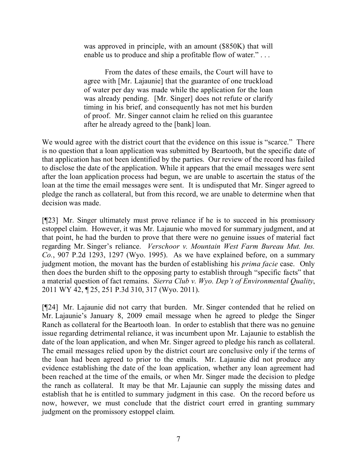was approved in principle, with an amount (\$850K) that will enable us to produce and ship a profitable flow of water."...

From the dates of these emails, the Court will have to agree with [Mr. Lajaunie] that the guarantee of one truckload of water per day was made while the application for the loan was already pending. [Mr. Singer] does not refute or clarify timing in his brief, and consequently has not met his burden of proof. Mr. Singer cannot claim he relied on this guarantee after he already agreed to the [bank] loan.

We would agree with the district court that the evidence on this issue is "scarce." There is no question that a loan application was submitted by Beartooth, but the specific date of that application has not been identified by the parties. Our review of the record has failed to disclose the date of the application. While it appears that the email messages were sent after the loan application process had begun, we are unable to ascertain the status of the loan at the time the email messages were sent. It is undisputed that Mr. Singer agreed to pledge the ranch as collateral, but from this record, we are unable to determine when that decision was made.

[¶23] Mr. Singer ultimately must prove reliance if he is to succeed in his promissory estoppel claim. However, it was Mr. Lajaunie who moved for summary judgment, and at that point, he had the burden to prove that there were no genuine issues of material fact regarding Mr. Singer's reliance. *Verschoor v. Mountain West Farm Bureau Mut. Ins. Co.*, 907 P.2d 1293, 1297 (Wyo. 1995). As we have explained before, on a summary judgment motion, the movant has the burden of establishing his *prima facie* case. Only then does the burden shift to the opposing party to establish through "specific facts" that a material question of fact remains. *Sierra Club v. Wyo. Dep't of Environmental Quality*, 2011 WY 42, ¶ 25, 251 P.3d 310, 317 (Wyo. 2011).

[¶24] Mr. Lajaunie did not carry that burden. Mr. Singer contended that he relied on Mr. Lajaunie's January 8, 2009 email message when he agreed to pledge the Singer Ranch as collateral for the Beartooth loan. In order to establish that there was no genuine issue regarding detrimental reliance, it was incumbent upon Mr. Lajaunie to establish the date of the loan application, and when Mr. Singer agreed to pledge his ranch as collateral. The email messages relied upon by the district court are conclusive only if the terms of the loan had been agreed to prior to the emails. Mr. Lajaunie did not produce any evidence establishing the date of the loan application, whether any loan agreement had been reached at the time of the emails, or when Mr. Singer made the decision to pledge the ranch as collateral. It may be that Mr. Lajaunie can supply the missing dates and establish that he is entitled to summary judgment in this case. On the record before us now, however, we must conclude that the district court erred in granting summary judgment on the promissory estoppel claim.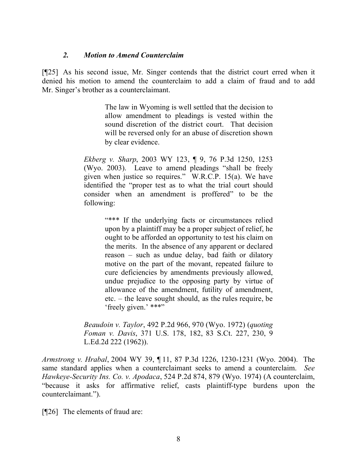## *2. Motion to Amend Counterclaim*

[¶25] As his second issue, Mr. Singer contends that the district court erred when it denied his motion to amend the counterclaim to add a claim of fraud and to add Mr. Singer's brother as a counterclaimant.

> The law in Wyoming is well settled that the decision to allow amendment to pleadings is vested within the sound discretion of the district court. That decision will be reversed only for an abuse of discretion shown by clear evidence.

*Ekberg v. Sharp*, 2003 WY 123, ¶ 9, 76 P.3d 1250, 1253 (Wyo. 2003). Leave to amend pleadings "shall be freely given when justice so requires." W.R.C.P. 15(a). We have identified the "proper test as to what the trial court should consider when an amendment is proffered" to be the following:

> "\*\*\* If the underlying facts or circumstances relied upon by a plaintiff may be a proper subject of relief, he ought to be afforded an opportunity to test his claim on the merits. In the absence of any apparent or declared reason – such as undue delay, bad faith or dilatory motive on the part of the movant, repeated failure to cure deficiencies by amendments previously allowed, undue prejudice to the opposing party by virtue of allowance of the amendment, futility of amendment, etc. – the leave sought should, as the rules require, be 'freely given.' \*\*\*"

*Beaudoin v. Taylor*, 492 P.2d 966, 970 (Wyo. 1972) (*quoting Foman v. Davis*, 371 U.S. 178, 182, 83 S.Ct. 227, 230, 9 L.Ed.2d 222 (1962)).

*Armstrong v. Hrabal*, 2004 WY 39, ¶ 11, 87 P.3d 1226, 1230-1231 (Wyo. 2004). The same standard applies when a counterclaimant seeks to amend a counterclaim. *See Hawkeye-Security Ins. Co. v. Apodaca*, 524 P.2d 874, 879 (Wyo. 1974) (A counterclaim, "because it asks for affirmative relief, casts plaintiff-type burdens upon the counterclaimant.").

[¶26] The elements of fraud are: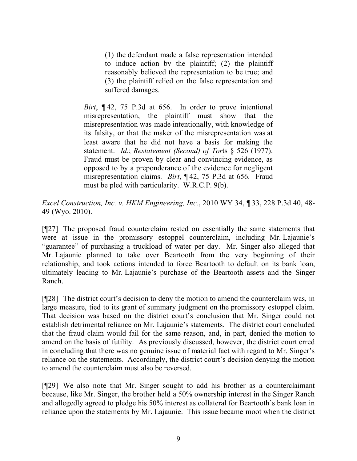(1) the defendant made a false representation intended to induce action by the plaintiff; (2) the plaintiff reasonably believed the representation to be true; and (3) the plaintiff relied on the false representation and suffered damages.

*Birt*, ¶ 42, 75 P.3d at 656. In order to prove intentional misrepresentation, the plaintiff must show that the misrepresentation was made intentionally, with knowledge of its falsity, or that the maker of the misrepresentation was at least aware that he did not have a basis for making the statement. *Id*.; *Restatement (Second) of Tor*ts § 526 (1977). Fraud must be proven by clear and convincing evidence, as opposed to by a preponderance of the evidence for negligent misrepresentation claims. *Birt*, ¶ 42, 75 P.3d at 656. Fraud must be pled with particularity. W.R.C.P. 9(b).

*Excel Construction, Inc. v. HKM Engineering, Inc.*, 2010 WY 34, ¶ 33, 228 P.3d 40, 48- 49 (Wyo. 2010).

[¶27] The proposed fraud counterclaim rested on essentially the same statements that were at issue in the promissory estoppel counterclaim, including Mr. Lajaunie's "guarantee" of purchasing a truckload of water per day. Mr. Singer also alleged that Mr. Lajaunie planned to take over Beartooth from the very beginning of their relationship, and took actions intended to force Beartooth to default on its bank loan, ultimately leading to Mr. Lajaunie's purchase of the Beartooth assets and the Singer Ranch.

[¶28] The district court's decision to deny the motion to amend the counterclaim was, in large measure, tied to its grant of summary judgment on the promissory estoppel claim. That decision was based on the district court's conclusion that Mr. Singer could not establish detrimental reliance on Mr. Lajaunie's statements. The district court concluded that the fraud claim would fail for the same reason, and, in part, denied the motion to amend on the basis of futility. As previously discussed, however, the district court erred in concluding that there was no genuine issue of material fact with regard to Mr. Singer's reliance on the statements. Accordingly, the district court's decision denying the motion to amend the counterclaim must also be reversed.

[¶29] We also note that Mr. Singer sought to add his brother as a counterclaimant because, like Mr. Singer, the brother held a 50% ownership interest in the Singer Ranch and allegedly agreed to pledge his 50% interest as collateral for Beartooth's bank loan in reliance upon the statements by Mr. Lajaunie. This issue became moot when the district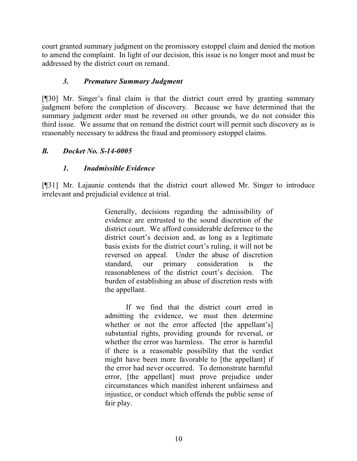court granted summary judgment on the promissory estoppel claim and denied the motion to amend the complaint. In light of our decision, this issue is no longer moot and must be addressed by the district court on remand.

## *3. Premature Summary Judgment*

[¶30] Mr. Singer's final claim is that the district court erred by granting summary judgment before the completion of discovery. Because we have determined that the summary judgment order must be reversed on other grounds, we do not consider this third issue. We assume that on remand the district court will permit such discovery as is reasonably necessary to address the fraud and promissory estoppel claims.

## *B. Docket No. S-14-0005*

## *1. Inadmissible Evidence*

[¶31] Mr. Lajaunie contends that the district court allowed Mr. Singer to introduce irrelevant and prejudicial evidence at trial.

> Generally, decisions regarding the admissibility of evidence are entrusted to the sound discretion of the district court. We afford considerable deference to the district court's decision and, as long as a legitimate basis exists for the district court's ruling, it will not be reversed on appeal. Under the abuse of discretion standard, our primary consideration is the reasonableness of the district court's decision. The burden of establishing an abuse of discretion rests with the appellant.

> If we find that the district court erred in admitting the evidence, we must then determine whether or not the error affected [the appellant's] substantial rights, providing grounds for reversal, or whether the error was harmless. The error is harmful if there is a reasonable possibility that the verdict might have been more favorable to [the appellant] if the error had never occurred. To demonstrate harmful error, [the appellant] must prove prejudice under circumstances which manifest inherent unfairness and injustice, or conduct which offends the public sense of fair play.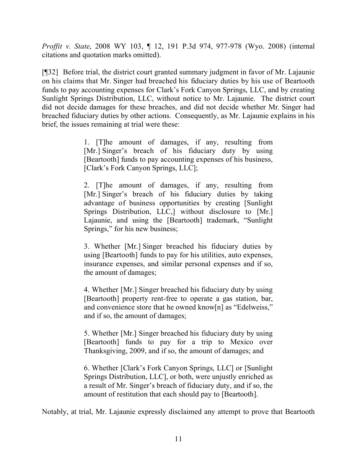*Proffit v. State*, 2008 WY 103, ¶ 12, 191 P.3d 974, 977-978 (Wyo. 2008) (internal citations and quotation marks omitted).

[¶32] Before trial, the district court granted summary judgment in favor of Mr. Lajaunie on his claims that Mr. Singer had breached his fiduciary duties by his use of Beartooth funds to pay accounting expenses for Clark's Fork Canyon Springs, LLC, and by creating Sunlight Springs Distribution, LLC, without notice to Mr. Lajaunie. The district court did not decide damages for these breaches, and did not decide whether Mr. Singer had breached fiduciary duties by other actions. Consequently, as Mr. Lajaunie explains in his brief, the issues remaining at trial were these:

> 1. [T]he amount of damages, if any, resulting from [Mr.] Singer's breach of his fiduciary duty by using [Beartooth] funds to pay accounting expenses of his business, [Clark's Fork Canyon Springs, LLC];

> 2. [T]he amount of damages, if any, resulting from [Mr.] Singer's breach of his fiduciary duties by taking advantage of business opportunities by creating [Sunlight Springs Distribution, LLC,] without disclosure to [Mr.] Lajaunie, and using the [Beartooth] trademark, "Sunlight Springs," for his new business;

> 3. Whether [Mr.] Singer breached his fiduciary duties by using [Beartooth] funds to pay for his utilities, auto expenses, insurance expenses, and similar personal expenses and if so, the amount of damages;

> 4. Whether [Mr.] Singer breached his fiduciary duty by using [Beartooth] property rent-free to operate a gas station, bar, and convenience store that he owned know[n] as "Edelweiss," and if so, the amount of damages;

> 5. Whether [Mr.] Singer breached his fiduciary duty by using [Beartooth] funds to pay for a trip to Mexico over Thanksgiving, 2009, and if so, the amount of damages; and

> 6. Whether [Clark's Fork Canyon Springs, LLC] or [Sunlight Springs Distribution, LLC], or both, were unjustly enriched as a result of Mr. Singer's breach of fiduciary duty, and if so, the amount of restitution that each should pay to [Beartooth].

Notably, at trial, Mr. Lajaunie expressly disclaimed any attempt to prove that Beartooth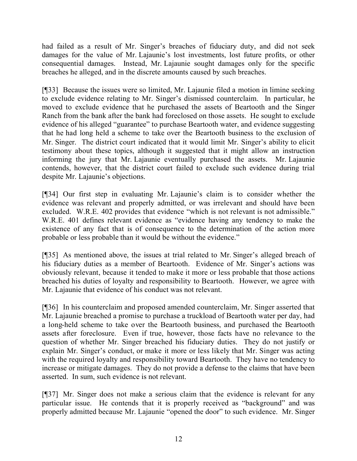had failed as a result of Mr. Singer's breaches of fiduciary duty, and did not seek damages for the value of Mr. Lajaunie's lost investments, lost future profits, or other consequential damages. Instead, Mr. Lajaunie sought damages only for the specific breaches he alleged, and in the discrete amounts caused by such breaches.

[¶33] Because the issues were so limited, Mr. Lajaunie filed a motion in limine seeking to exclude evidence relating to Mr. Singer's dismissed counterclaim. In particular, he moved to exclude evidence that he purchased the assets of Beartooth and the Singer Ranch from the bank after the bank had foreclosed on those assets. He sought to exclude evidence of his alleged "guarantee" to purchase Beartooth water, and evidence suggesting that he had long held a scheme to take over the Beartooth business to the exclusion of Mr. Singer. The district court indicated that it would limit Mr. Singer's ability to elicit testimony about these topics, although it suggested that it might allow an instruction informing the jury that Mr. Lajaunie eventually purchased the assets. Mr. Lajaunie contends, however, that the district court failed to exclude such evidence during trial despite Mr. Lajaunie's objections.

[¶34] Our first step in evaluating Mr. Lajaunie's claim is to consider whether the evidence was relevant and properly admitted, or was irrelevant and should have been excluded. W.R.E. 402 provides that evidence "which is not relevant is not admissible." W.R.E. 401 defines relevant evidence as "evidence having any tendency to make the existence of any fact that is of consequence to the determination of the action more probable or less probable than it would be without the evidence."

[¶35] As mentioned above, the issues at trial related to Mr. Singer's alleged breach of his fiduciary duties as a member of Beartooth. Evidence of Mr. Singer's actions was obviously relevant, because it tended to make it more or less probable that those actions breached his duties of loyalty and responsibility to Beartooth. However, we agree with Mr. Lajaunie that evidence of his conduct was not relevant.

[¶36] In his counterclaim and proposed amended counterclaim, Mr. Singer asserted that Mr. Lajaunie breached a promise to purchase a truckload of Beartooth water per day, had a long-held scheme to take over the Beartooth business, and purchased the Beartooth assets after foreclosure. Even if true, however, those facts have no relevance to the question of whether Mr. Singer breached his fiduciary duties. They do not justify or explain Mr. Singer's conduct, or make it more or less likely that Mr. Singer was acting with the required loyalty and responsibility toward Beartooth. They have no tendency to increase or mitigate damages. They do not provide a defense to the claims that have been asserted. In sum, such evidence is not relevant.

[¶37] Mr. Singer does not make a serious claim that the evidence is relevant for any particular issue. He contends that it is properly received as "background" and was properly admitted because Mr. Lajaunie "opened the door" to such evidence. Mr. Singer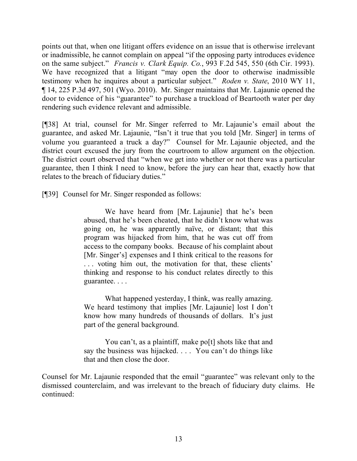points out that, when one litigant offers evidence on an issue that is otherwise irrelevant or inadmissible, he cannot complain on appeal "if the opposing party introduces evidence on the same subject." *Francis v. Clark Equip. Co.*, 993 F.2d 545, 550 (6th Cir. 1993). We have recognized that a litigant "may open the door to otherwise inadmissible testimony when he inquires about a particular subject." *Roden v. State*, 2010 WY 11, ¶ 14, 225 P.3d 497, 501 (Wyo. 2010). Mr. Singer maintains that Mr. Lajaunie opened the door to evidence of his "guarantee" to purchase a truckload of Beartooth water per day rendering such evidence relevant and admissible.

[¶38] At trial, counsel for Mr. Singer referred to Mr. Lajaunie's email about the guarantee, and asked Mr. Lajaunie, "Isn't it true that you told [Mr. Singer] in terms of volume you guaranteed a truck a day?" Counsel for Mr. Lajaunie objected, and the district court excused the jury from the courtroom to allow argument on the objection. The district court observed that "when we get into whether or not there was a particular guarantee, then I think I need to know, before the jury can hear that, exactly how that relates to the breach of fiduciary duties."

[¶39] Counsel for Mr. Singer responded as follows:

We have heard from [Mr. Lajaunie] that he's been abused, that he's been cheated, that he didn't know what was going on, he was apparently naïve, or distant; that this program was hijacked from him, that he was cut off from access to the company books. Because of his complaint about [Mr. Singer's] expenses and I think critical to the reasons for . . . voting him out, the motivation for that, these clients' thinking and response to his conduct relates directly to this guarantee. . . .

What happened yesterday, I think, was really amazing. We heard testimony that implies [Mr. Lajaunie] lost I don't know how many hundreds of thousands of dollars. It's just part of the general background.

You can't, as a plaintiff, make po<sup>[t]</sup> shots like that and say the business was hijacked. . . . You can't do things like that and then close the door.

Counsel for Mr. Lajaunie responded that the email "guarantee" was relevant only to the dismissed counterclaim, and was irrelevant to the breach of fiduciary duty claims. He continued: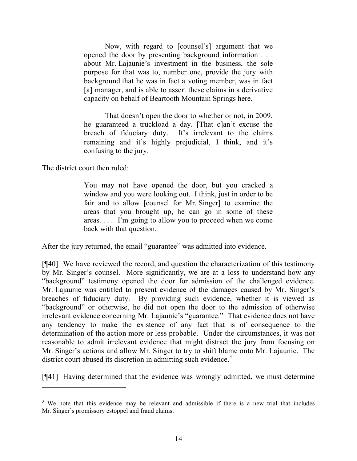Now, with regard to [counsel's] argument that we opened the door by presenting background information . . . about Mr. Lajaunie's investment in the business, the sole purpose for that was to, number one, provide the jury with background that he was in fact a voting member, was in fact [a] manager, and is able to assert these claims in a derivative capacity on behalf of Beartooth Mountain Springs here.

That doesn't open the door to whether or not, in 2009, he guaranteed a truckload a day. [That c]an't excuse the breach of fiduciary duty. It's irrelevant to the claims remaining and it's highly prejudicial, I think, and it's confusing to the jury.

The district court then ruled:

 $\overline{a}$ 

You may not have opened the door, but you cracked a window and you were looking out. I think, just in order to be fair and to allow [counsel for Mr. Singer] to examine the areas that you brought up, he can go in some of these areas. . . . I'm going to allow you to proceed when we come back with that question.

After the jury returned, the email "guarantee" was admitted into evidence.

[¶40] We have reviewed the record, and question the characterization of this testimony by Mr. Singer's counsel. More significantly, we are at a loss to understand how any "background" testimony opened the door for admission of the challenged evidence. Mr. Lajaunie was entitled to present evidence of the damages caused by Mr. Singer's breaches of fiduciary duty. By providing such evidence, whether it is viewed as "background" or otherwise, he did not open the door to the admission of otherwise irrelevant evidence concerning Mr. Lajaunie's "guarantee." That evidence does not have any tendency to make the existence of any fact that is of consequence to the determination of the action more or less probable. Under the circumstances, it was not reasonable to admit irrelevant evidence that might distract the jury from focusing on Mr. Singer's actions and allow Mr. Singer to try to shift blame onto Mr. Lajaunie. The district court abused its discretion in admitting such evidence.<sup>3</sup>

[¶41] Having determined that the evidence was wrongly admitted, we must determine

<sup>&</sup>lt;sup>3</sup> We note that this evidence may be relevant and admissible if there is a new trial that includes Mr. Singer's promissory estoppel and fraud claims.